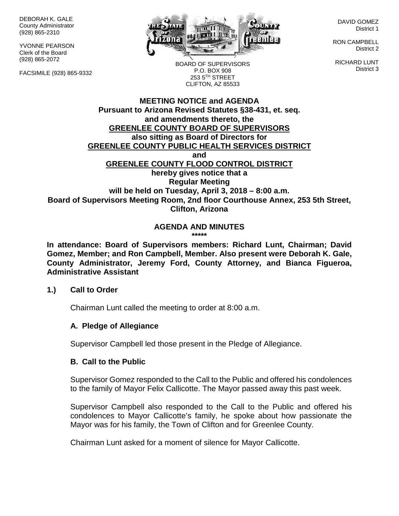DEBORAH K. GALE County Administrator (928) 865-2310

YVONNE PEARSON Clerk of the Board (928) 865-2072

FACSIMILE (928) 865-9332



DAVID GOMEZ District 1

RON CAMPBELL District 2

RICHARD LUNT District 3

BOARD OF SUPERVISORS P.O. BOX 908 253 5TH STREET CLIFTON, AZ 85533

#### **MEETING NOTICE and AGENDA Pursuant to Arizona Revised Statutes §38-431, et. seq. and amendments thereto, the GREENLEE COUNTY BOARD OF SUPERVISORS also sitting as Board of Directors for GREENLEE COUNTY PUBLIC HEALTH SERVICES DISTRICT and GREENLEE COUNTY FLOOD CONTROL DISTRICT hereby gives notice that a Regular Meeting will be held on Tuesday, April 3, 2018 – 8:00 a.m. Board of Supervisors Meeting Room, 2nd floor Courthouse Annex, 253 5th Street, Clifton, Arizona**

#### **AGENDA AND MINUTES \*\*\*\*\***

**In attendance: Board of Supervisors members: Richard Lunt, Chairman; David Gomez, Member; and Ron Campbell, Member. Also present were Deborah K. Gale, County Administrator, Jeremy Ford, County Attorney, and Bianca Figueroa, Administrative Assistant**

### **1.) Call to Order**

Chairman Lunt called the meeting to order at 8:00 a.m.

### **A. Pledge of Allegiance**

Supervisor Campbell led those present in the Pledge of Allegiance.

### **B. Call to the Public**

Supervisor Gomez responded to the Call to the Public and offered his condolences to the family of Mayor Felix Callicotte. The Mayor passed away this past week.

Supervisor Campbell also responded to the Call to the Public and offered his condolences to Mayor Callicotte's family, he spoke about how passionate the Mayor was for his family, the Town of Clifton and for Greenlee County.

Chairman Lunt asked for a moment of silence for Mayor Callicotte.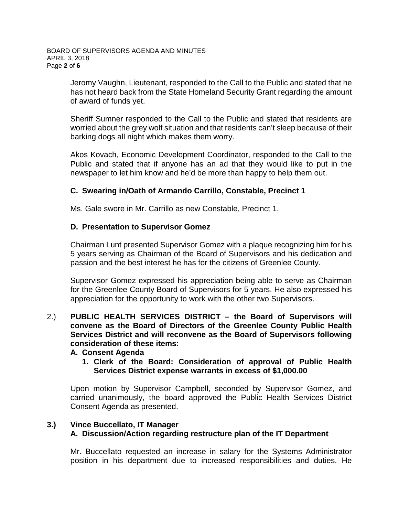Jeromy Vaughn, Lieutenant, responded to the Call to the Public and stated that he has not heard back from the State Homeland Security Grant regarding the amount of award of funds yet.

Sheriff Sumner responded to the Call to the Public and stated that residents are worried about the grey wolf situation and that residents can't sleep because of their barking dogs all night which makes them worry.

Akos Kovach, Economic Development Coordinator, responded to the Call to the Public and stated that if anyone has an ad that they would like to put in the newspaper to let him know and he'd be more than happy to help them out.

# **C. Swearing in/Oath of Armando Carrillo, Constable, Precinct 1**

Ms. Gale swore in Mr. Carrillo as new Constable, Precinct 1.

# **D. Presentation to Supervisor Gomez**

Chairman Lunt presented Supervisor Gomez with a plaque recognizing him for his 5 years serving as Chairman of the Board of Supervisors and his dedication and passion and the best interest he has for the citizens of Greenlee County.

Supervisor Gomez expressed his appreciation being able to serve as Chairman for the Greenlee County Board of Supervisors for 5 years. He also expressed his appreciation for the opportunity to work with the other two Supervisors.

## 2.) **PUBLIC HEALTH SERVICES DISTRICT – the Board of Supervisors will convene as the Board of Directors of the Greenlee County Public Health Services District and will reconvene as the Board of Supervisors following consideration of these items:**

### **A. Consent Agenda**

**1. Clerk of the Board: Consideration of approval of Public Health Services District expense warrants in excess of \$1,000.00**

Upon motion by Supervisor Campbell, seconded by Supervisor Gomez, and carried unanimously, the board approved the Public Health Services District Consent Agenda as presented.

## **3.) Vince Buccellato, IT Manager A. Discussion/Action regarding restructure plan of the IT Department**

Mr. Buccellato requested an increase in salary for the Systems Administrator position in his department due to increased responsibilities and duties. He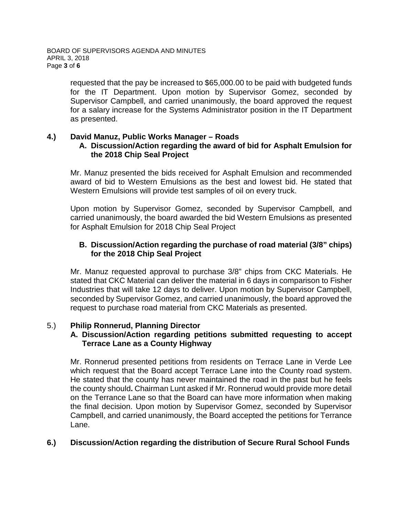requested that the pay be increased to \$65,000.00 to be paid with budgeted funds for the IT Department. Upon motion by Supervisor Gomez, seconded by Supervisor Campbell, and carried unanimously, the board approved the request for a salary increase for the Systems Administrator position in the IT Department as presented.

### **4.) David Manuz, Public Works Manager – Roads**

### **A. Discussion/Action regarding the award of bid for Asphalt Emulsion for the 2018 Chip Seal Project**

Mr. Manuz presented the bids received for Asphalt Emulsion and recommended award of bid to Western Emulsions as the best and lowest bid. He stated that Western Emulsions will provide test samples of oil on every truck.

Upon motion by Supervisor Gomez, seconded by Supervisor Campbell, and carried unanimously, the board awarded the bid Western Emulsions as presented for Asphalt Emulsion for 2018 Chip Seal Project

## **B. Discussion/Action regarding the purchase of road material (3/8" chips) for the 2018 Chip Seal Project**

Mr. Manuz requested approval to purchase 3/8" chips from CKC Materials. He stated that CKC Material can deliver the material in 6 days in comparison to Fisher Industries that will take 12 days to deliver. Upon motion by Supervisor Campbell, seconded by Supervisor Gomez, and carried unanimously, the board approved the request to purchase road material from CKC Materials as presented.

### 5.) **Philip Ronnerud, Planning Director**

### **A. Discussion/Action regarding petitions submitted requesting to accept Terrace Lane as a County Highway**

Mr. Ronnerud presented petitions from residents on Terrace Lane in Verde Lee which request that the Board accept Terrace Lane into the County road system. He stated that the county has never maintained the road in the past but he feels the county should**.** Chairman Lunt asked if Mr. Ronnerud would provide more detail on the Terrance Lane so that the Board can have more information when making the final decision. Upon motion by Supervisor Gomez, seconded by Supervisor Campbell, and carried unanimously, the Board accepted the petitions for Terrance Lane.

### **6.) Discussion/Action regarding the distribution of Secure Rural School Funds**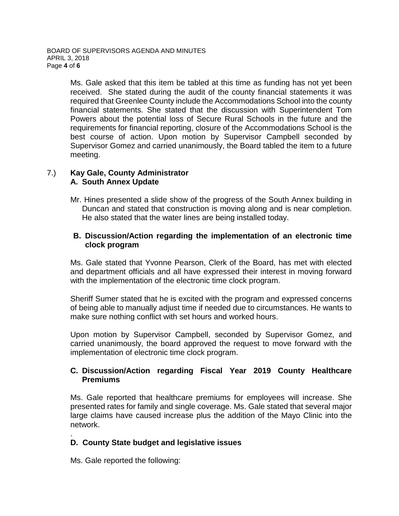Ms. Gale asked that this item be tabled at this time as funding has not yet been received. She stated during the audit of the county financial statements it was required that Greenlee County include the Accommodations School into the county financial statements. She stated that the discussion with Superintendent Tom Powers about the potential loss of Secure Rural Schools in the future and the requirements for financial reporting, closure of the Accommodations School is the best course of action. Upon motion by Supervisor Campbell seconded by Supervisor Gomez and carried unanimously, the Board tabled the item to a future meeting.

## 7.) **Kay Gale, County Administrator A. South Annex Update**

Mr. Hines presented a slide show of the progress of the South Annex building in Duncan and stated that construction is moving along and is near completion. He also stated that the water lines are being installed today.

## **B. Discussion/Action regarding the implementation of an electronic time clock program**

Ms. Gale stated that Yvonne Pearson, Clerk of the Board, has met with elected and department officials and all have expressed their interest in moving forward with the implementation of the electronic time clock program.

Sheriff Sumer stated that he is excited with the program and expressed concerns of being able to manually adjust time if needed due to circumstances. He wants to make sure nothing conflict with set hours and worked hours.

Upon motion by Supervisor Campbell, seconded by Supervisor Gomez, and carried unanimously, the board approved the request to move forward with the implementation of electronic time clock program.

## **C. Discussion/Action regarding Fiscal Year 2019 County Healthcare Premiums**

Ms. Gale reported that healthcare premiums for employees will increase. She presented rates for family and single coverage. Ms. Gale stated that several major large claims have caused increase plus the addition of the Mayo Clinic into the network.

#### . **D. County State budget and legislative issues**

Ms. Gale reported the following: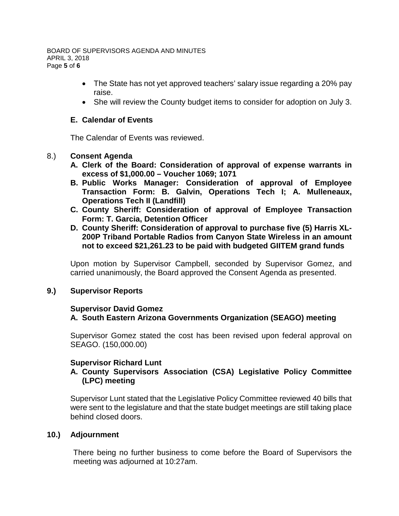BOARD OF SUPERVISORS AGENDA AND MINUTES APRIL 3, 2018 Page **5** of **6**

- The State has not yet approved teachers' salary issue regarding a 20% pay raise.
- She will review the County budget items to consider for adoption on July 3.

#### **E. Calendar of Events**

The Calendar of Events was reviewed.

#### 8.) **Consent Agenda**

- **A. Clerk of the Board: Consideration of approval of expense warrants in excess of \$1,000.00 – Voucher 1069; 1071**
- **B. Public Works Manager: Consideration of approval of Employee Transaction Form: B. Galvin, Operations Tech I; A. Mulleneaux, Operations Tech II (Landfill)**
- **C. County Sheriff: Consideration of approval of Employee Transaction Form: T. Garcia, Detention Officer**
- **D. County Sheriff: Consideration of approval to purchase five (5) Harris XL-200P Triband Portable Radios from Canyon State Wireless in an amount not to exceed \$21,261.23 to be paid with budgeted GIITEM grand funds**

Upon motion by Supervisor Campbell, seconded by Supervisor Gomez, and carried unanimously, the Board approved the Consent Agenda as presented.

### **9.) Supervisor Reports**

### **Supervisor David Gomez A. South Eastern Arizona Governments Organization (SEAGO) meeting**

Supervisor Gomez stated the cost has been revised upon federal approval on SEAGO. (150,000.00)

### **Supervisor Richard Lunt**

## **A. County Supervisors Association (CSA) Legislative Policy Committee (LPC) meeting**

Supervisor Lunt stated that the Legislative Policy Committee reviewed 40 bills that were sent to the legislature and that the state budget meetings are still taking place behind closed doors.

### **10.) Adjournment**

There being no further business to come before the Board of Supervisors the meeting was adjourned at 10:27am.